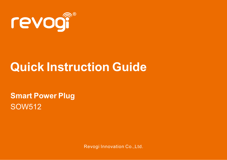

# **Quick Instruction Guide**

SOW512 **Smart Power Plug**

Revogi Innovation Co.,Ltd.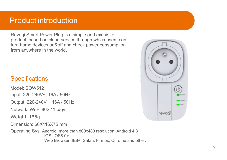### Product introduction

Revogi Smart Power Plug is a simple and exquisite product, based on cloud service through which users can turn home devices on&off and check power consumption from anywhere in the world.

### **Specifications**

Input: 220-240V~, 16A / 50Hz Network: Wi-Fi 802.11 b/g/n Operating Sys: Android: more than 800x480 resolution, Android 4.3+; iOS: iOS8.0+ Model: SOW512 Dimension: 66X116X75 mm Output: 220-240V~, 16A / 50Hz Weight: 165g

Web Browser: IE8+, Safari, Firefox, Chrome and other.

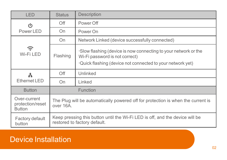| LED                                               | <b>Status</b>                                                                                                | Description                                                                                                                                                    |  |
|---------------------------------------------------|--------------------------------------------------------------------------------------------------------------|----------------------------------------------------------------------------------------------------------------------------------------------------------------|--|
| (h<br>Power LED                                   | Off                                                                                                          | Power Off                                                                                                                                                      |  |
|                                                   | On                                                                                                           | Power On                                                                                                                                                       |  |
| ຣ<br>Wi-Fi LED                                    | On                                                                                                           | Network Linked (device successfully connected)                                                                                                                 |  |
|                                                   | Flashing                                                                                                     | Slow flashing (device is now connecting to your network or the<br>Wi-Fi password is not correct)<br>·Quick flashing (device not connected to your network yet) |  |
| A<br>Ethernet LED                                 | Off                                                                                                          | Unlinked                                                                                                                                                       |  |
|                                                   | On                                                                                                           | Linked                                                                                                                                                         |  |
| <b>Button</b>                                     | Function                                                                                                     |                                                                                                                                                                |  |
| Over-current<br>protection/reset<br><b>Button</b> | The Plug will be automatically powered off for protection is when the current is<br>over 16A.                |                                                                                                                                                                |  |
| Factory default<br>button                         | Keep pressing this button until the Wi-Fi LED is off, and the device will be<br>restored to factory default. |                                                                                                                                                                |  |

# Device Installation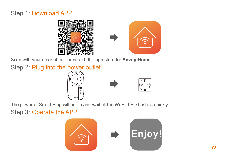### Step 1: Download APP



Scan with your smartphone or search the app store for **RevogiHome.**

Step 2: Plug into the power outlet





Step 3: Operate the APP The power of Smart Plug will be on and wait till the Wi-Fi LED flashes quickly.

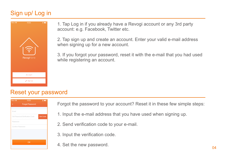### Sign up/ Log in



1. Tap Log in if you already have a Revogi account or any 3rd party account: e.g. Facebook, Twitter etc.

2. Tap sign up and create an account. Enter your valid e-mail address when signing up for a new account.

3. If you forgot your password, reset it with the e-mail that you had used while registering an account.

#### Reset your password

| Reig <sub>9</sub> | 15:53                          | . .             |
|-------------------|--------------------------------|-----------------|
|                   | Forget Password                |                 |
| Email             |                                |                 |
|                   | Old Password/Verification Code | <b>Get Code</b> |
| Password          |                                |                 |
| Confirm Password  |                                |                 |
|                   |                                |                 |
|                   |                                |                 |
|                   | OK                             |                 |
|                   |                                |                 |

Forgot the password to your account? Reset it in these few simple steps:

- 1. Input the e-mail address that you have used when signing up.
- 2. Send verification code to your e-mail.
- 3. Input the verification code.
- 4. Set the new password.  $\frac{0.4}{0.4}$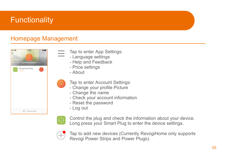# **Functionality**

### Homepage Management



- Tap to enter App Settings:
- Language settings
- Help and Feedback
- Price settings

- About

- Tap to enter Account Settings:
- Change your profile Picture
- Change the name
- Check your account information
- Reset the password
- Log out



Control the plug and check the information about your device. Long press your Smart Plug to enter the device settings.



Tap to add new devices (Currently RevogiHome only supports Revogi Power Strips and Power Plugs).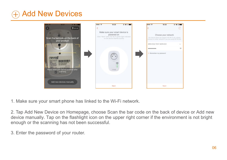# Add New Devices



1. Make sure your smart phone has linked to the Wi-Fi network.

2. Tap Add New Device on Homepage, choose Scan the bar code on the back of device or Add new device manually. Tap on the flashlight icon on the upper right corner if the environment is not bright enough or the scanning has not been successful.

3. Enter the password of your router.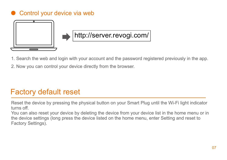### Control your device via web



# http://server.revogi.com/

- 1. Search the web and login with your account and the password registered previously in the app.
- 2. Now you can control your device directly from the browser.

## Factory default reset

Reset the device by pressing the physical button on your Smart Plug until the Wi-Fi light indicator turns off.

You can also reset your device by deleting the device from your device list in the home menu or in the device settings (long press the device listed on the home menu, enter Setting and reset to Factory Settings).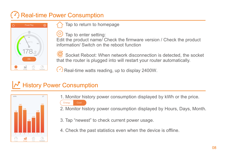# Real-time Power Consumption



Tap to return to homepage

 Tap to enter setting: Edit the product name/ Check the firmware version / Check the product information/ Switch on the reboot function

 Socket Reboot: When network disconnection is detected, the socket that the router is plugged into will restart your router automatically.

 $\langle \cdot \rangle$  Real-time watts reading, up to display 2400W.

# History Power Consumption



1. Monitor history power consumption displayed by kWh or the price.



- 2. Monitor history power consumption displayed by Hours, Days, Month.
- 3. Tap "newest" to check current power usage.
- 4. Check the past statistics even when the device is offline.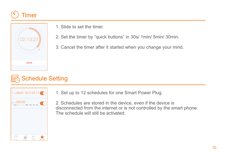# Timer



1. Slide to set the timer.

- 2. Set the timer by "quick buttons" in 30s/ 1min/ 5min/ 30min.
- 3. Cancel the timer after it started when you change your mind.

# **R**& Schedule Setting



1. Set up to 12 schedules for one Smart Power Plug.

2. Schedules are stored in the device, even if the device is disconnected from the internet or is not controlled by the smart phone. The schedule will still be activated.